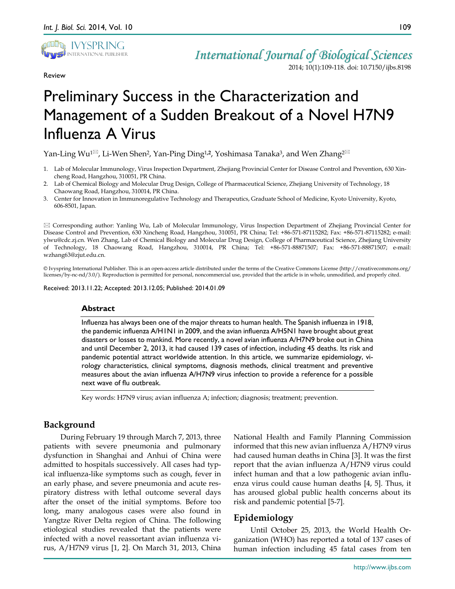

Review

# *International Journal of Biological Sciences*

2014; 10(1):109-118. doi: 10.7150/ijbs.8198

# Preliminary Success in the Characterization and Management of a Sudden Breakout of a Novel H7N9 Influenza A Virus

Yan-Ling Wu<sup>1⊠</sup>, Li-Wen Shen<sup>2</sup>, Yan-Ping Ding<sup>1,2</sup>, Yoshimasa Tanaka<sup>3</sup>, and Wen Zhang<sup>2⊠</sup>

- 1. Lab of Molecular Immunology, Virus Inspection Department, Zhejiang Provincial Center for Disease Control and Prevention, 630 Xincheng Road, Hangzhou, 310051, PR China.
- 2. Lab of Chemical Biology and Molecular Drug Design, College of Pharmaceutical Science, Zhejiang University of Technology, 18 Chaowang Road, Hangzhou, 310014, PR China.
- 3. Center for Innovation in Immunoregulative Technology and Therapeutics, Graduate School of Medicine, Kyoto University, Kyoto, 606-8501, Japan.

 Corresponding author: Yanling Wu, Lab of Molecular Immunology, Virus Inspection Department of Zhejiang Provincial Center for Disease Control and Prevention, 630 Xincheng Road, Hangzhou, 310051, PR China; Tel: +86-571-87115282; Fax: +86-571-87115282; e-mail: ylwu@cdc.zj.cn. Wen Zhang, Lab of Chemical Biology and Molecular Drug Design, College of Pharmaceutical Science, Zhejiang University of Technology, 18 Chaowang Road, Hangzhou, 310014, PR China; Tel: +86-571-88871507; Fax: +86-571-88871507; e-mail: wzhang63@zjut.edu.cn.

© Ivyspring International Publisher. This is an open-access article distributed under the terms of the Creative Commons License (http://creativecommons.org/ licenses/by-nc-nd/3.0/). Reproduction is permitted for personal, noncommercial use, provided that the article is in whole, unmodified, and properly cited.

Received: 2013.11.22; Accepted: 2013.12.05; Published: 2014.01.09

#### **Abstract**

Influenza has always been one of the major threats to human health. The Spanish influenza in 1918, the pandemic influenza A/H1N1 in 2009, and the avian influenza A/H5N1 have brought about great disasters or losses to mankind. More recently, a novel avian influenza A/H7N9 broke out in China and until December 2, 2013, it had caused 139 cases of infection, including 45 deaths. Its risk and pandemic potential attract worldwide attention. In this article, we summarize epidemiology, virology characteristics, clinical symptoms, diagnosis methods, clinical treatment and preventive measures about the avian influenza A/H7N9 virus infection to provide a reference for a possible next wave of flu outbreak.

Key words: H7N9 virus; avian influenza A; infection; diagnosis; treatment; prevention.

# **Background**

During February 19 through March 7, 2013, three patients with severe pneumonia and pulmonary dysfunction in Shanghai and Anhui of China were admitted to hospitals successively. All cases had typical influenza-like symptoms such as cough, fever in an early phase, and severe pneumonia and acute respiratory distress with lethal outcome several days after the onset of the initial symptoms. Before too long, many analogous cases were also found in Yangtze River Delta region of China. The following etiological studies revealed that the patients were infected with a novel reassortant avian influenza virus, A/H7N9 virus [1, 2]. On March 31, 2013, China

National Health and Family Planning Commission informed that this new avian influenza A/H7N9 virus had caused human deaths in China [3]. It was the first report that the avian influenza A/H7N9 virus could infect human and that a low pathogenic avian influenza virus could cause human deaths [4, 5]. Thus, it has aroused global public health concerns about its risk and pandemic potential [5-7].

## **Epidemiology**

Until October 25, 2013, the World Health Organization (WHO) has reported a total of 137 cases of human infection including 45 fatal cases from ten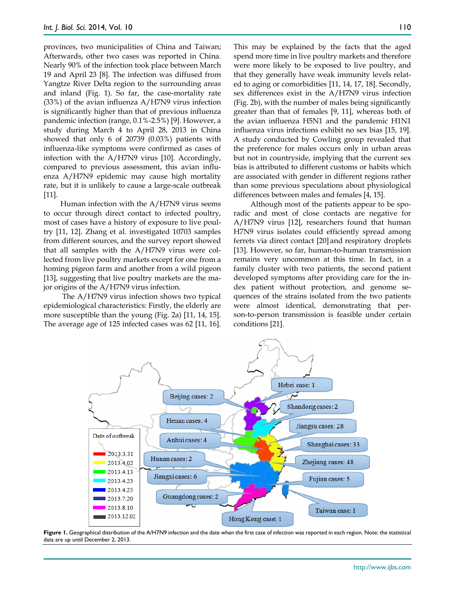provinces, two municipalities of China and Taiwan; Afterwards, other two cases was reported in China. Nearly 90% of the infection took place between March 19 and April 23 [8]. The infection was diffused from Yangtze River Delta region to the surrounding areas and inland (Fig. 1). So far, the case-mortality rate (33%) of the avian influenza A/H7N9 virus infection is significantly higher than that of previous influenza pandemic infection (range, 0.1%-2.5%) [9]. However, a study during March 4 to April 28, 2013 in China showed that only 6 of 20739 (0.03%) patients with influenza-like symptoms were confirmed as cases of infection with the A/H7N9 virus [10]. Accordingly, compared to previous assessment, this avian influenza A/H7N9 epidemic may cause high mortality rate, but it is unlikely to cause a large-scale outbreak [11].

Human infection with the A/H7N9 virus seems to occur through direct contact to infected poultry, most of cases have a history of exposure to live poultry [11, 12]. Zhang et al. investigated 10703 samples from different sources, and the survey report showed that all samples with the A/H7N9 virus were collected from live poultry markets except for one from a homing pigeon farm and another from a wild pigeon [13], suggesting that live poultry markets are the major origins of the A/H7N9 virus infection.

The A/H7N9 virus infection shows two typical epidemiological characteristics: Firstly, the elderly are more susceptible than the young (Fig. 2a) [11, 14, 15]. The average age of 125 infected cases was 62 [11, 16]. This may be explained by the facts that the aged spend more time in live poultry markets and therefore were more likely to be exposed to live poultry, and that they generally have weak immunity levels related to aging or comorbidities [11, 14, 17, 18]. Secondly, sex differences exist in the A/H7N9 virus infection (Fig. 2b), with the number of males being significantly greater than that of females [9, 11], whereas both of the avian influenza H5N1 and the pandemic H1N1 influenza virus infections exhibit no sex bias [15, 19]. A study conducted by Cowling group revealed that the preference for males occurs only in urban areas but not in countryside, implying that the current sex bias is attributed to different customs or habits which are associated with gender in different regions rather than some previous speculations about physiological differences between males and females [4, 15].

Although most of the patients appear to be sporadic and most of close contacts are negative for A/H7N9 virus [12], researchers found that human H7N9 virus isolates could efficiently spread among ferrets via direct contact [20] and respiratory droplets [13]. However, so far, human-to-human transmission remains very uncommon at this time. In fact, in a family cluster with two patients, the second patient developed symptoms after providing care for the index patient without protection, and genome sequences of the strains isolated from the two patients were almost identical, demonstrating that person-to-person transmission is feasible under certain conditions [21].



**Figure 1.** Geographical distribution of the A/H7N9 infection and the date when the first case of infection was reported in each region. Note: the statistical data are up until December 2, 2013.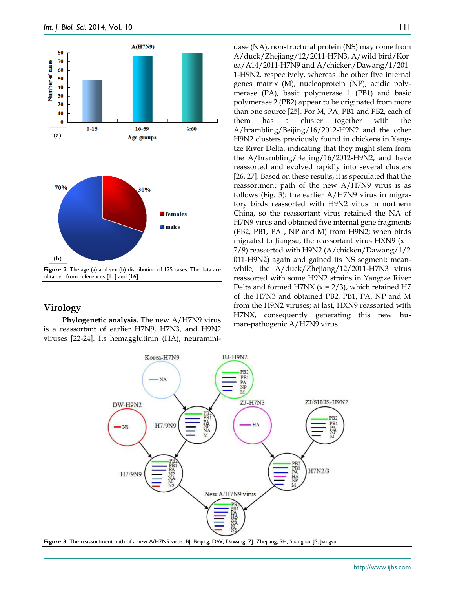

obtained from references [11] and [16].

## **Virology**

**Phylogenetic analysis.** The new A/H7N9 virus is a reassortant of earlier H7N9, H7N3, and H9N2 viruses [22-24]. Its hemagglutinin (HA), neuraminidase (NA), nonstructural protein (NS) may come from A/duck/Zhejiang/12/2011-H7N3, A/wild bird/Kor ea/A14/2011-H7N9 and A/chicken/Dawang/1/201 1-H9N2, respectively, whereas the other five internal genes matrix (M), nucleoprotein (NP), acidic polymerase (PA), basic polymerase 1 (PB1) and basic polymerase 2 (PB2) appear to be originated from more than one source [25]. For M, PA, PB1 and PB2, each of them has a cluster together with the A/brambling/Beijing/16/2012-H9N2 and the other H9N2 clusters previously found in chickens in Yangtze River Delta, indicating that they might stem from the A/brambling/Beijing/16/2012-H9N2, and have reassorted and evolved rapidly into several clusters [26, 27]. Based on these results, it is speculated that the reassortment path of the new A/H7N9 virus is as follows (Fig. 3): the earlier A/H7N9 virus in migratory birds reassorted with H9N2 virus in northern China, so the reassortant virus retained the NA of H7N9 virus and obtained five internal gene fragments (PB2, PB1, PA , NP and M) from H9N2; when birds migrated to Jiangsu, the reassortant virus HXN9  $(x =$ 7/9) reasserted with H9N2 (A/chicken/Dawang/1/2 011-H9N2) again and gained its NS segment; meanwhile, the A/duck/Zhejiang/12/2011-H7N3 virus reassorted with some H9N2 strains in Yangtze River Delta and formed H7NX ( $x = 2/3$ ), which retained H7 of the H7N3 and obtained PB2, PB1, PA, NP and M from the H9N2 viruses; at last, HXN9 reassorted with H7NX, consequently generating this new human-pathogenic A/H7N9 virus.



Figure 3. The reassortment path of a new A/H7N9 virus. BJ, Beijing; DW, Dawang; ZJ, Zhejiang; SH, Shanghai; JS, Jiangsu.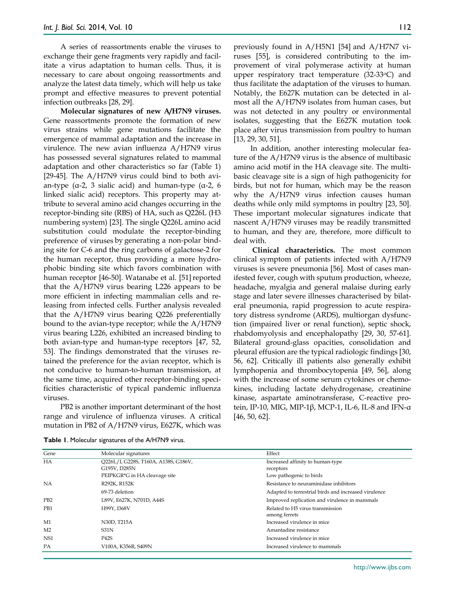A series of reassortments enable the viruses to exchange their gene fragments very rapidly and facilitate a virus adaptation to human cells. Thus, it is necessary to care about ongoing reassortments and analyze the latest data timely, which will help us take prompt and effective measures to prevent potential infection outbreaks [28, 29].

**Molecular signatures of new A/H7N9 viruses.** Gene reassortments promote the formation of new virus strains while gene mutations facilitate the emergence of mammal adaptation and the increase in virulence. The new avian influenza A/H7N9 virus has possessed several signatures related to mammal adaptation and other characteristics so far (Table 1) [29-45]. The A/H7N9 virus could bind to both avian-type (α-2, 3 sialic acid) and human-type (α-2, 6 linked sialic acid) receptors. This property may attribute to several amino acid changes occurring in the receptor-binding site (RBS) of HA, such as Q226L (H3 numbering system) [23]. The single Q226L amino acid substitution could modulate the receptor-binding preference of viruses by generating a non-polar binding site for C-6 and the ring carbons of galactose-2 for the human receptor, thus providing a more hydrophobic binding site which favors combination with human receptor [46-50]. Watanabe et al. [51] reported that the A/H7N9 virus bearing L226 appears to be more efficient in infecting mammalian cells and releasing from infected cells. Further analysis revealed that the A/H7N9 virus bearing Q226 preferentially bound to the avian-type receptor; while the A/H7N9 virus bearing L226, exhibited an increased binding to both avian-type and human-type receptors [47, 52, 53]. The findings demonstrated that the viruses retained the preference for the avian receptor, which is not conducive to human-to-human transmission, at the same time, acquired other receptor-binding specificities characteristic of typical pandemic influenza viruses.

PB2 is another important determinant of the host range and virulence of influenza viruses. A critical mutation in PB2 of A/H7N9 virus, E627K, which was previously found in A/H5N1 [54] and A/H7N7 viruses [55], is considered contributing to the improvement of viral polymerase activity at human upper respiratory tract temperature (32-33oC) and thus facilitate the adaptation of the viruses to human. Notably, the E627K mutation can be detected in almost all the A/H7N9 isolates from human cases, but was not detected in any poultry or environmental isolates, suggesting that the E627K mutation took place after virus transmission from poultry to human [13, 29, 30, 51].

In addition, another interesting molecular feature of the A/H7N9 virus is the absence of multibasic amino acid motif in the HA cleavage site. The multibasic cleavage site is a sign of high pathogenicity for birds, but not for human, which may be the reason why the A/H7N9 virus infection causes human deaths while only mild symptoms in poultry [23, 50]. These important molecular signatures indicate that nascent A/H7N9 viruses may be readily transmitted to human, and they are, therefore, more difficult to deal with.

**Clinical characteristics.** The most common clinical symptom of patients infected with A/H7N9 viruses is severe pneumonia [56]. Most of cases manifested fever, cough with sputum production, wheeze, headache, myalgia and general malaise during early stage and later severe illnesses characterised by bilateral pneumonia, rapid progression to acute respiratory distress syndrome (ARDS), multiorgan dysfunction (impaired liver or renal function), septic shock, rhabdomyolysis and encephalopathy [29, 30, 57-61]. Bilateral ground-glass opacities, consolidation and pleural effusion are the typical radiologic findings [30, 56, 62]. Critically ill patients also generally exhibit lymphopenia and thrombocytopenia [49, 56], along with the increase of some serum cytokines or chemokines, including lactate dehydrogenase, creatinine kinase, aspartate aminotransferase, C-reactive protein, IP-10, MIG, MIP-1β, MCP-1, IL-6, IL-8 and IFN-α [46, 50, 62].

| Gene            | Molecular signatures                 | Effect                                               |
|-----------------|--------------------------------------|------------------------------------------------------|
| HA              | Q226L/I, G228S, T160A, A138S, G186V, | Increased affinity to human-type                     |
|                 | G195V, D285N                         | receptors                                            |
|                 | PEIPKGR*G in HA cleavage site        | Low pathogenic to birds                              |
| <b>NA</b>       | R292K, R152K                         | Resistance to neuraminidase inhibitors               |
|                 | 69-73 deletion                       | Adapted to terrestrial birds and increased virulence |
| P <sub>B2</sub> | L89V, E627K, N701D, A44S             | Improved replication and virulence in mammals        |
| PB1             | H99Y, I368V                          | Related to H5 virus transmission                     |
|                 |                                      | among ferrets                                        |
| M1              | N30D, T215A                          | Increased virulence in mice                          |
| M <sub>2</sub>  | S31N                                 | Amantadine resistance                                |
| NS <sub>1</sub> | P <sub>42</sub> S                    | Increased virulence in mice                          |
| PA              | V100A, K356R, S409N                  | Increased virulence to mammals                       |

**Table 1**. Molecular signatures of the A/H7N9 virus.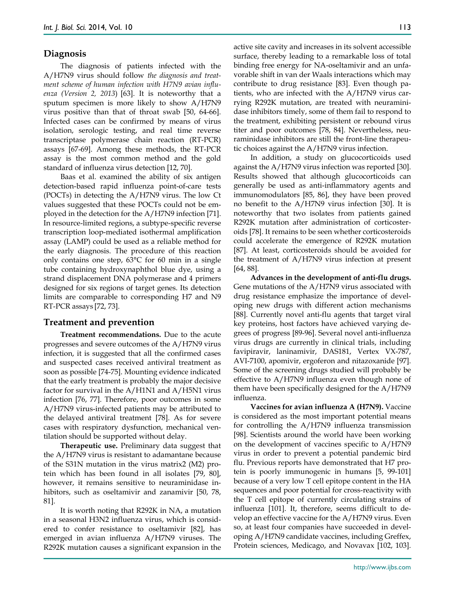#### **Diagnosis**

The diagnosis of patients infected with the A/H7N9 virus should follow *the diagnosis and treatment scheme of human infection with H7N9 avian influenza (Version 2, 2013*) [63]. It is noteworthy that a sputum specimen is more likely to show A/H7N9 virus positive than that of throat swab [50, 64-66]. Infected cases can be confirmed by means of virus isolation, serologic testing, and real time reverse transcriptase polymerase chain reaction (RT-PCR) assays [67-69]. Among these methods, the RT-PCR assay is the most common method and the gold standard of influenza virus detection [12, 70].

Baas et al. examined the ability of six antigen detection-based rapid influenza point-of-care tests (POCTs) in detecting the A/H7N9 virus. The low Ct values suggested that these POCTs could not be employed in the detection for the A/H7N9 infection [71]. In resource-limited regions, a subtype-specific reverse transcription loop-mediated isothermal amplification assay (LAMP) could be used as a reliable method for the early diagnosis. The procedure of this reaction only contains one step, 63°C for 60 min in a single tube containing hydroxynaphthol blue dye, using a strand displacement DNA polymerase and 4 primers designed for six regions of target genes. Its detection limits are comparable to corresponding H7 and N9 RT-PCR assays [72, 73].

#### **Treatment and prevention**

**Treatment recommendations.** Due to the acute progresses and severe outcomes of the A/H7N9 virus infection, it is suggested that all the confirmed cases and suspected cases received antiviral treatment as soon as possible [74-75]. Mounting evidence indicated that the early treatment is probably the major decisive factor for survival in the A/H1N1 and A/H5N1 virus infection [76, 77]. Therefore, poor outcomes in some A/H7N9 virus-infected patients may be attributed to the delayed antiviral treatment [78]. As for severe cases with respiratory dysfunction, mechanical ventilation should be supported without delay.

**Therapeutic use.** Preliminary data suggest that the A/H7N9 virus is resistant to adamantane because of the S31N mutation in the virus matrix2 (M2) protein which has been found in all isolates [79, 80], however, it remains sensitive to neuraminidase inhibitors, such as oseltamivir and zanamivir [50, 78, 81].

It is worth noting that R292K in NA, a mutation in a seasonal H3N2 influenza virus, which is considered to confer resistance to oseltamivir [82], has emerged in avian influenza A/H7N9 viruses. The R292K mutation causes a significant expansion in the active site cavity and increases in its solvent accessible surface, thereby leading to a remarkable loss of total binding free energy for NA-oseltamivir and an unfavorable shift in van der Waals interactions which may contribute to drug resistance [83]. Even though patients, who are infected with the A/H7N9 virus carrying R292K mutation, are treated with neuraminidase inhibitors timely, some of them fail to respond to the treatment, exhibiting persistent or rebound virus titer and poor outcomes [78, 84]. Nevertheless, neuraminidase inhibitors are still the front-line therapeutic choices against the A/H7N9 virus infection.

In addition, a study on glucocorticoids used against the A/H7N9 virus infection was reported [30]. Results showed that although glucocorticoids can generally be used as anti-inflammatory agents and immunomodulators [85, 86], they have been proved no benefit to the A/H7N9 virus infection [30]. It is noteworthy that two isolates from patients gained R292K mutation after administration of corticosteroids [78]. It remains to be seen whether corticosteroids could accelerate the emergence of R292K mutation [87]. At least, corticosteroids should be avoided for the treatment of A/H7N9 virus infection at present [64, 88].

**Advances in the development of anti-flu drugs.**  Gene mutations of the A/H7N9 virus associated with drug resistance emphasize the importance of developing new drugs with different action mechanisms [88]. Currently novel anti-flu agents that target viral key proteins, host factors have achieved varying degrees of progress [89-96]. Several novel anti-influenza virus drugs are currently in clinical trials, including favipiravir, laninamivir, DAS181, Vertex VX-787, AVI-7100, apomivir, ergoferon and nitazoxanide [97]. Some of the screening drugs studied will probably be effective to A/H7N9 influenza even though none of them have been specifically designed for the A/H7N9 influenza.

**Vaccines for avian influenza A (H7N9).** Vaccine is considered as the most important potential means for controlling the A/H7N9 influenza transmission [98]. Scientists around the world have been working on the development of vaccines specific to A/H7N9 virus in order to prevent a potential pandemic bird flu. Previous reports have demonstrated that H7 protein is poorly immunogenic in humans [5, 99-101] because of a very low T cell epitope content in the HA sequences and poor potential for cross-reactivity with the T cell epitope of currently circulating strains of influenza [101]. It, therefore, seems difficult to develop an effective vaccine for the A/H7N9 virus. Even so, at least four companies have succeeded in developing A/H7N9 candidate vaccines, including Greffex, Protein sciences, Medicago, and Novavax [102, 103].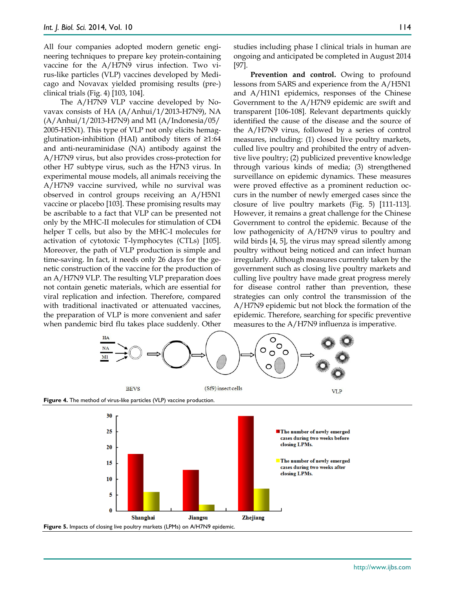All four companies adopted modern genetic engineering techniques to prepare key protein-containing vaccine for the A/H7N9 virus infection. Two virus-like particles (VLP) vaccines developed by Medicago and Novavax yielded promising results (pre-) clinical trials (Fig. 4) [103, 104].

The A/H7N9 VLP vaccine developed by Novavax consists of HA (A/Anhui/1/2013-H7N9), NA (A/Anhui/1/2013-H7N9) and M1 (A/Indonesia/05/ 2005-H5N1). This type of VLP not only elicits hemagglutination-inhibition (HAI) antibody titers of ≥1:64 and anti-neuraminidase (NA) antibody against the A/H7N9 virus, but also provides cross-protection for other H7 subtype virus, such as the H7N3 virus. In experimental mouse models, all animals receiving the A/H7N9 vaccine survived, while no survival was observed in control groups receiving an A/H5N1 vaccine or placebo [103]. These promising results may be ascribable to a fact that VLP can be presented not only by the MHC-II molecules for stimulation of CD4 helper T cells, but also by the MHC-I molecules for activation of cytotoxic T-lymphocytes (CTLs) [105]. Moreover, the path of VLP production is simple and time-saving. In fact, it needs only 26 days for the genetic construction of the vaccine for the production of an A/H7N9 VLP. The resulting VLP preparation does not contain genetic materials, which are essential for viral replication and infection. Therefore, compared with traditional inactivated or attenuated vaccines, the preparation of VLP is more convenient and safer when pandemic bird flu takes place suddenly. Other studies including phase I clinical trials in human are ongoing and anticipated be completed in August 2014 [97].

**Prevention and control.** Owing to profound lessons from SARS and experience from the A/H5N1 and A/H1N1 epidemics, responses of the Chinese Government to the A/H7N9 epidemic are swift and transparent [106-108]. Relevant departments quickly identified the cause of the disease and the source of the A/H7N9 virus, followed by a series of control measures, including: (1) closed live poultry markets, culled live poultry and prohibited the entry of adventive live poultry; (2) publicized preventive knowledge through various kinds of media; (3) strengthened surveillance on epidemic dynamics. These measures were proved effective as a prominent reduction occurs in the number of newly emerged cases since the closure of live poultry markets (Fig. 5) [111-113]. However, it remains a great challenge for the Chinese Government to control the epidemic. Because of the low pathogenicity of A/H7N9 virus to poultry and wild birds [4, 5], the virus may spread silently among poultry without being noticed and can infect human irregularly. Although measures currently taken by the government such as closing live poultry markets and culling live poultry have made great progress merely for disease control rather than prevention, these strategies can only control the transmission of the A/H7N9 epidemic but not block the formation of the epidemic. Therefore, searching for specific preventive measures to the A/H7N9 influenza is imperative.

**VLP** 



**Figure 4.** The method of virus-like particles (VLP) vaccine production.

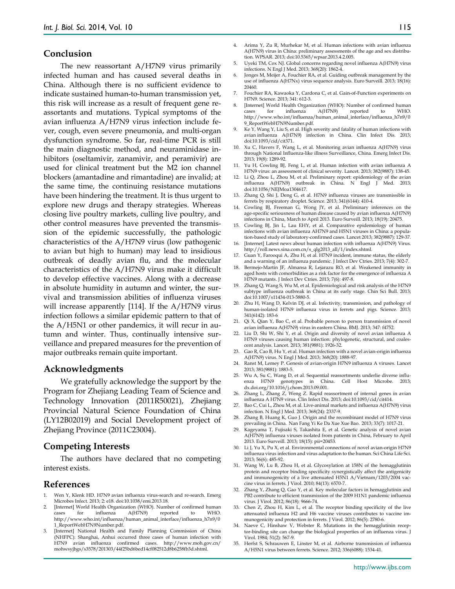#### **Conclusion**

The new reassortant A/H7N9 virus primarily infected human and has caused several deaths in China. Although there is no sufficient evidence to indicate sustained human-to-human transmission yet, this risk will increase as a result of frequent gene reassortants and mutations. Typical symptoms of the avian influenza A/H7N9 virus infection include fever, cough, even severe pneumonia, and multi-organ dysfunction syndrome. So far, real-time PCR is still the main diagnostic method, and neuraminidase inhibitors (oseltamivir, zanamivir, and peramivir) are used for clinical treatment but the M2 ion channel blockers (amantadine and rimantadine) are invalid; at the same time, the continuing resistance mutations have been hindering the treatment. It is thus urgent to explore new drugs and therapy strategies. Whereas closing live poultry markets, culling live poultry, and other control measures have prevented the transmission of the epidemic successfully, the pathologic characteristics of the A/H7N9 virus (low pathogenic to avian but high to human) may lead to insidious outbreak of deadly avian flu, and the molecular characteristics of the A/H7N9 virus make it difficult to develop effective vaccines. Along with a decrease in absolute humidity in autumn and winter, the survival and transmission abilities of influenza viruses will increase apparently [114]. If the A/H7N9 virus infection follows a similar epidemic pattern to that of the A/H5N1 or other pandemics, it will recur in autumn and winter. Thus, continually intensive surveillance and prepared measures for the prevention of major outbreaks remain quite important.

#### **Acknowledgments**

We gratefully acknowledge the support by the Program for Zhejiang Leading Team of Science and Technology Innovation (2011R50021), Zhejiang Provincial Natural Science Foundation of China (LY12B02019) and Social Development project of Zhejiang Province (2011C23004).

### **Competing Interests**

The authors have declared that no competing interest exists.

### **References**

- 1. Wen Y, Klenk HD. H7N9 avian influenza virus-search and re-search. Emerg Microbes Infect. 2013; 2: e18. doi:10.1038/emi.2013.18.
- [Internet] World Health Organization (WHO). Number of confirmed human cases for influenza A(H7N9) reported to WHO. http://www.who.int/influenza/human\_animal\_interface/influenza\_h7n9/0 1\_ReportWebH7N9Number.pdf.
- [Internet] National Health and Family Planning Commission of China (NHFPC): Shanghai, Anhui occurred three cases of human infection with H7N9 avian influenza confirmed cases. http://www.moh.gov.cn/ mohwsyjbgs/s3578/201303/44f25bd6bed14cf082512d8b6258fb3d.shtml.
- Arima Y, Zu R, Murhekar M, et al. Human infections with avian influenza A(H7N9) virus in China: preliminary assessments of the age and sex distribution. WPSAR. 2013; doi:10.5365/wpsar.2013.4.2.005.
- 5. Uyeki TM, Cox NJ. Global concerns regarding novel influenza A(H7N9) virus infections. N Engl J Med. 2013; 368(20): 1862-4.
- 6. Jonges M, Meijer A, Fouchier RA, et al. Guiding outbreak management by the use of influenza A(H7Nx) virus sequence analysis. Euro Surveill. 2013; 18(16): 20460.
- 7. Fouchier RA, Kawaoka Y, Cardona C, et al. Gain-of-Function experiments on H7N9. Science. 2013; 341: 612-3.
- 8. [Internet] World Health Organization (WHO): Number of confirmed human cases for influenza A(H7N9) reported to WHO. cases for influenza A(H7N9) reported to WHO. http://www.who.int/influenza/human\_animal\_interface/influenza\_h7n9/0 9\_ReportWebH7N9Number.pdf.
- Ke Y, Wang Y, Liu S, et al. High severity and fatality of human infections with avian influenza A(H7N9) infection in China. Clin Infect Dis. 2013; doi:10.1093/cid/cit371.
- 10. Xu C, Havers F, Wang L, et al. Monitoring avian influenza A(H7N9) virus through National Influenza-like illness Surveillance, China. Emerg Infect Dis. 2013; 19(8): 1289-92.
- 11. Yu H, Cowling BJ, Feng L, et al. Human infection with avian influenza A H7N9 virus: an assessment of clinical severity. Lancet. 2013; 382(9887): 138-45.
- 12. Li Q, Zhou L, Zhou M, et al. Preliminary report: epidemiology of the avian influenza A(H7N9) outbreak in China. N Engl J Med. 2013; doi:10.1056/NEJMoa1304617.
- 13. Zhang Q, Shi J, Deng G, et al. H7N9 influenza viruses are transmissible in ferrets by respiratory droplet. Science. 2013; 341(6144): 410-4.
- 14. Cowling BJ, Freeman G, Wong JY, et al. Preliminary inferences on the age-specific seriousness of human disease caused by avian influenza A(H7N9) infections in China, March to April 2013. Euro Surveill. 2013; 18(19): 20475.
- 15. Cowling BJ, Jin L, Lau EHY, et al. Comparative epidemiology of human infections with avian influenza AH7N9 and H5N1 viruses in China: a population-based study of laboratory-confirmed cases. Lancet 2013; 382(9887): 129-37.
- 16. [Internet] Latest news about human infection with influenza A(H7N9) Virus. http://roll.news.sina.com.cn/s\_qlg2013\_all/1/index.shtml.
- 17. Guan Y, Farooqui A, Zhu H, et al. H7N9 incident, immune status, the elderly and a warning of an influenza pandemic. J Infect Dev Ctries. 2013; 7(4): 302-7.
- 18. Bermejo-Martin JF, Almansa R, Lejarazu RO, et al. Weakened immunity in aged hosts with comorbidities as a risk factor for the emergence of influenza A H7N9 mutants. J Infect Dev Ctries. 2013; 7(6): 497-8.
- 19. Zhang Q, Wang S, Wu M, et al. Epidemiological and risk analysis of the H7N9 subtype influenza outbreak in China at its early stage. Chin Sci Bull. 2013; doi:10.1007/s11434-013-5880-5.
- 20. Zhu H, Wang D, Kelvin DJ, et al. Infectivity, transmission, and pathology of human-isolated H7N9 influenza virus in ferrets and pigs. Science. 2013; 341(6142): 183-6
- 21. Qi X, Qian Y, Bao C, et al. Probable person to person transmission of novel avian influenza A(H7N9) virus in eastern China. BMJ. 2013; 347: f4752.
- 22. Liu D, Shi W, Shi Y, et al. Origin and diversity of novel avian influenza A H7N9 viruses causing human infection: phylogenetic, structural, and coalescent analysis. Lancet. 2013; 381(9881): 1926-32.
- 23. Gao R, Cao B, Hu Y, et al. Human infection with a novel avian-origin influenza A(H7N9) virus. N Engl J Med. 2013; 368(20): 1888-97.
- 24. Ranst M, Lemey P. Genesis of avian-origin H7N9 influenza A viruses. Lancet 2013; 381(9881): 1883-5.
- 25. Wu A, Su C, Wang D, et al. Sequential reassortments underlie diverse influenza H7N9 genotypes in China. Cell Host Microbe. 2013; dx.doi.org/10.1016/j.chom.2013.09.001.
- 26. Zhang L, Zhang Z, Weng Z. Rapid reassortment of internal genes in avian influenza A H7N9 virus. Clin Infect Dis. 2013; doi:10.1093/cid/cit414.
- 27. Bao C, Cui L, Zhou M, et al. Live-animal markets and influenza A(H7N9) virus infection. N Engl J Med. 2013; 368(24): 2337-9.
- 28. Zhang B, Huang K, Guo J. Origin and the recombinant model of H7N9 virus prevailing in China. Nan Fang Yi Ke Da Xue Xue Bao. 2013; 33(7): 1017-21.
- 29. Kageyama T, Fujisaki S, Takashita E, et al. Genetic analysis of novel avian A(H7N9) influenza viruses isolated from patients in China, February to April 2013. Euro Surveill. 2013; 18(15): pii=20453.
- 30. Li J, Yu X, Pu X, et al. Environmental connections of novel avian-origin H7N9 influenza virus infection and virus adaptation to the human. Sci China Life Sci. 2013; 56(6): 485-92.
- 31. Wang W, Lu B, Zhou H, et al. Glycosylation at 158N of the hemagglutinin protein and receptor binding specificity synergistically affect the antigenicity and immunogenicity of a live attenuated H5N1 A/Vietnam/1203/2004 vaccine virus in ferrets. J Virol. 2010; 84(13): 6570-7.
- 32. Zhang Y, Zhang Q, Gao Y, et al. Key molecular factors in hemagglutinin and PB2 contribute to efficient transmission of the 2009 H1N1 pandemic influenza virus. J Virol. 2012; 86(18): 9666-74.
- 33. Chen Z, Zhou H, Kim L, et al. The receptor binding specificity of the live attenuated influenza H2 and H6 vaccine viruses contributes to vaccine immunogenicity and protection in ferrets. J Virol. 2012; 86(5): 2780-6.
- 34. Naeve C, Hinshaw V, Webster R. Mutations in the hemagglutinin receptor-binding site can change the biological properties of an influenza virus. J Virol. 1984; 51(2): 567-9.
- 35. Herfst S, Schrauwen E, Linster M, et al. Airborne transmission of influenza A/H5N1 virus between ferrets. Science. 2012; 336(6088): 1534-41.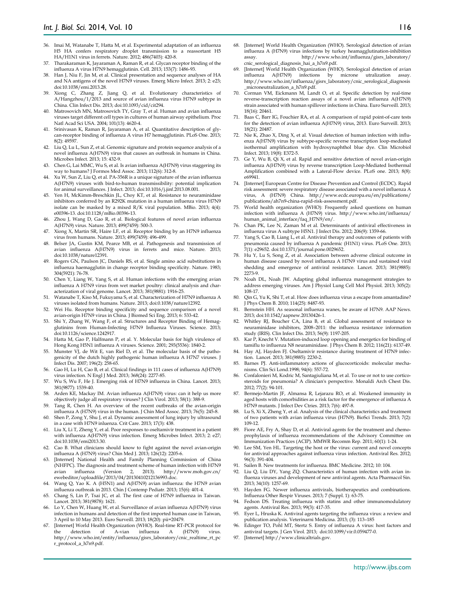- 36. Imai M, Watanabe T, Hatta M, et al. Experimental adaptation of an influenza H5 HA confers respiratory droplet transmission to a reassortant H5 HA/H1N1 virus in ferrets. Nature. 2012; 486(7403): 420-8.
- 37. Tharakaraman K, Jayaraman A, Raman R, et al. Glycan receptor binding of the influenza A virus H7N9 hemagglutinin. Cell. 2013; 153(7): 1486-93.
- 38. Han J, Niu F, Jin M, et al. Clinical presentation and sequence analyses of HA and NA antigens of the novel H7N9 viruses. Emerg Micro Infect. 2013; 2: e23; doi:10.1038/emi.2013.28.
- 39. Xiong C, Zhang Z, Jiang Q, et al. Evolutionary characteristics of A/Hangzhou/1/2013 and source of avian influenza virus H7N9 subtype in China. Clin Infect Dis. 2013; doi:10.1093/cid/cit294.
- 40. Matrosovich MN, Matrosovich TY, Gray T, et al. Human and avian influenza viruses target different cell types in cultures of human airway epithelium. Proc Natl Acad Sci USA. 2004; 101(13): 4620-4.
- Srinivasan K, Raman R, Jayaraman A, et al. Quantitative description of glycan-receptor binding of influenza A virus H7 hemagglutinin. PLoS One. 2013; 8(2): 49597.
- 42. Liu Q, Lu L, Sun Z, et al. Genomic signature and protein sequence analysis of a novel influenza A(H7N9) virus that causes an outbreak in humans in China. Microbes Infect. 2013; 15: 432-9.
- 43. Chen G, Lai MMC, Wu S, et al. Is avian influenza A(H7N9) virus staggering its way to humans? J Formos Med Assoc. 2013; 112(6): 312-8.
- 44. Xu W, Sun Z, Liu Q, et al. PA-356R is a unique signature of the avian influenza A(H7N9) viruses with bird-to-human transmissibility: potential implication for animal surveillances. J Infect. 2013; doi:10.1016/j.jinf.2013.08.001.
- 45. Yen H, McKimm-Breschkin JL, Choy KT, et al. Resistance to neuraminidase inhibitors conferred by an R292K mutation in a human influenza virus H7N9 isolate can be masked by a mixed R/K viral population. MBio. 2013; 4(4): e00396-13. doi:10.1128/mBio.00396-13.
- 46. Zhou J, Wang D, Gao R, et al. Biological features of novel avian influenza A(H7N9) virus. Nature. 2013; 499(7459): 500-3.
- Xiong X, Martin SR, Haire LF, et al. Receptor binding by an H7N9 influenza virus from humans. Nature. 2013; 499(7459): 496-499.
- 48. Belser JA, Gustin KM, Pearce MB, et al. Pathogenesis and transmission of avian influenza A(H7N9) virus in ferrets and mice. Nature. 2013; doi:10.1038/nature12391.
- 49. Rogers GN, Paulson JC, Daniels RS, et al. Single amino acid substitutions in influenza haemagglutin in change receptor binding specificity. Nature. 1983; 304(5921): 76-78.
- 50. Chen Y, Liang W, Yang S, et al. Human infections with the emerging avian influenza A H7N9 virus from wet market poultry: clinical analysis and characterization of viral genome. Lancet. 2013; 381(9881): 1916-25.
- 51. Watanabe T, Kiso M, Fukuyama S, et al. Characterization of H7N9 influenza A viruses isolated from humans. Nature. 2013; doi:0.1038/nature12392.
- 52. Wei Hu. Receptor binding specificity and sequence comparison of a novel avian-origin H7N9 virus in China. J Biomed Sci Eng. 2013; 6: 533-42.
- 53. Shi Y, Zhang W, Wang F, et al. Structures and Receptor Binding of Hemagglutinins from Human-Infecting H7N9 Influenza Viruses. Science. 2013; doi:10.1126/science.1242917.
- 54. Hatta M, Gao P, Halfmann P, et al. Y. Molecular basis for high virulence of Hong Kong H5N1 influenza A viruses. Science. 2001; 293(5536): 1840-2.
- 55. Munster VJ, de Wit E, van Riel D, et al. The molecular basis of the pathogenicity of the dutch highly pathogenic human influenza A H7N7 viruses. J Infect Dis. 2007; 196(2): 258-65.
- 56. Gao H, Lu H, Cao B, et al. Clinical findings in 111 cases of influenza A(H7N9) virus infection. N Engl J Med. 2013; 368(24): 2277-85.
- 57. Wu S, Wu F, He J. Emerging risk of H7N9 influenza in China. Lancet. 2013; 381(9877): 1539-40.
- 58. Arden KE, Mackay IM. Avian influenza A(H7N9) virus: can it help us more objectively judge all respiratory viruses? J Clin Virol. 2013; 58(1): 388-9.
- 59. Tang R, Chen H. An overview of the recent outbreaks of the avian-origin influenza A (H7N9) virus in the human. J Chin Med Assoc. 2013; 76(5): 245-8.
- 60. Shen P, Zong Y, Shu J, et al. Dynamic assessment of lung injury by ultrasound in a case with H7N9 inluenza. Crit Care. 2013; 17(3): 438.
- 61. Liu X, Li T, Zheng Y, et al. Poor responses to oseltamivir treatment in a patient with influenza A(H7N9) virus infection. Emerg Microbes Infect. 2013; 2: e27; doi:10.1038/emi2013.30.
- 62. Cao B. What clinicians should know to fight against the novel avian-origin influenza A (H7N9) virus? Chin Med J. 2013; 126(12): 2205-6.
- 63. [Internet] National Health and Family Planning Commission of China (NHFPC). The diagnosis and treatment scheme of human infection with H7N9 avian influenza (Version 2, 2013). http://www.moh.gov.cn/ ewebeditor/uploadfile/2013/04/20130410212136993.doc.
- 64. Wang Q, Yao K. A (H5N1) and A(H7N9) avian influenza: the H7N9 avian influenza outbreak in 2013. Chin J Contemp Pediatr. 2013; 15(6): 401-4.
- 65. Chang S, Lin P, Tsai JC, et al. The first case of H7N9 influenza in Taiwan. Lancet. 2013; 381(9878): 1621.
- 66. Lo Y, Chen W, Huang W, et al. Surveillance of avian influenza A(H7N9) virus infection in humans and detection of the first imported human case in Taiwan, 3 April to 10 May 2013. Euro Surveill. 2013; 18(20): pii=20479.
- 67. [Internet] World Health Organization (WHO). Real-time RT-PCR protocol for detection of A-vian influenza A (H7N9) virus. http://www.who.int/entity/influenza/gisrs\_laboratory/cnic\_realtime\_rt\_pc r\_protocol\_a\_h7n9.pdf.
- 68. [Internet] World Health Organization (WHO). Serological detection of avian influenza A (H7N9) virus infections by turkey heamagglutination-inhibition assay. http://www.who.int/influenza/gisrs\_laboratory/ cnic\_serological\_diagnosis\_hai\_a\_h7n9.pdf.
- 69. [Internet] World Health Organization (WHO). Serological detection of avian influenza A(H7N9) infections by microne utralization assay. http://www.who.int/influenza/gisrs\_laboratory/cnic\_serological\_diagnosis \_microneutralization\_a\_h7n9.pdf.
- 70. Corman VM, Eickmann M, Landt O, et al. Specific detection by real-time reverse-transcription reaction assays of a novel avian influenza A(H7N9) strain associated with human spillover infections in China. Euro Surveill. 2013; 18(16): 20461.
- 71. Baas C, Barr IG, Fouchier RA, et al. A comparison of rapid point-of-care tests for the detection of avian influenza A(H7N9) virus, 2013. Euro Surveill. 2013; 18(21): 20487.
- 72. Nie K, Zhao X, Ding X, et al. Visual detection of human infection with influenza A(H7N9) virus by subtype-specific reverse transcription loop-mediated isothermal amplification with hydroxynaphthol blue dye. Clin Microbiol Infect. 2013; 19(8): E372-5.
- 73. Ge Y, Wu B, Qi X, et al. Rapid and sensitive detection of novel avian-origin influenza A(H7N9) virus by reverse transcription Loop-Mediated Isothermal Amplification combined with a Lateral-Flow device. PLoS one. 2013; 8(8): e69941.
- 74. [Internet] European Centre for Disease Prevention and Control (ECDC). Rapid risk assessment: severe respiratory disease associated with a novel influenza A virus, A (H7N9) China. http://www.ecdc.europa.eu/en/publications/ publications/ah7n9-china-rapid-risk-assessment.pdf.
- 75. World health organization (WHO): Frequently asked questions on human infection with influenza A (H7N9) virus. http://www.who.int/influenza/ human\_animal\_interface/faq\_H7N9/en/.
- 76. Chan PK, Lee N, Zaman M et al. Determinants of antiviral effectiveness in influenza virus A subtype H5N1. J Infect Dis. 2012; 206(9): 1359-66.
- 77. Yang S, Cao B, Liang L, et al. Antiviral therapy and outcomes of patients with pneumonia caused by influenza A pandemic (H1N1) virus. PLoS One. 2013; 7(1): e29652. doi:10.1371/journal.pone.0029652.
- 78. Hu Y, Lu S, Song Z, et al. Association between adverse clinical outcome in human disease caused by novel influenza A H7N9 virus and sustained viral shedding and emergence of antiviral resistance. Lancet. 2013; 381(9885): 2273-9.
- 79. Noah DL, Noah JW. Adapting global influenza management strategies to address emerging viruses. Am J Physiol Lung Cell Mol Physiol. 2013; 305(2): 108-17.
- 80. Qin G, Yu K, Shi T, et al. How does influenza virus a escape from amantadine? J Phys Chem B. 2010; 114(25): 8487-93.
- 81. Bernstein HH. As seasonal influenza wanes, be aware of H7N9. AAP News. 2013; doi:10.1542/aapnew.20130426-1.
- 82. Whitley RJ, Boucher CA, Lina B, et al. Global assessment of resistance to neuraminidase inhibitors, 2008–2011: the influenza resistance information study (IRIS). Clin Infect Dis. 2013; 56(9): 1197-205.
- 83. Kar P, Knecht V. Mutation-induced loop opening and energetics for binding of tamiflu to influenza N8 neuraminidase. J Phys Chem B. 2012; 116(21): 6137-49.
- 84. Hay AJ, Hayden FJ. Oseltamivir resistance during treatment of H7N9 infection. Lancet. 2013; 381(9885): 2230-2.
- 85. Barnes PJ. Anti-inflammatory actions of glucocorticoids: molecular mechanisms. Clin Sci Lond.1998; 94(6): 557-72.
- 86. Confalonieri M, Kodric M, Santagiuliana M, et al. To use or not to use corticosteroids for pneumonia? A clinician's perspective. Monaldi Arch Chest Dis. 2012; 77(2): 94-101.
- 87. Bermejo-Martin JF, Almansa R, Lejarazu RO, et al. Weakened immunity in aged hosts with comorbidities as a risk factor for the emergence of influenza A H7N9 mutants. J Infect Dev Ctries. 2013; 7(6): 497-8.
- 88. Lu S, Xi X, Zheng Y, et al. Analysis of the clinical characteristics and treatment of two patients with avian influenza virus (H7N9). BioSci Trends. 2013; 7(2): 109-12.
- 89. Fiore AE, Fry A, Shay D, et al. Antiviral agents for the treatment and chemoprophylaxis of influenza recommendations of the Advisory Committee on Immunization Practices (ACIP). MMWR Recomm Rep. 2011; 60(1): 1-24.
- 90. Lee SM, Yen HL. Targeting the host or the virus: current and novel concepts for antiviral approaches against influenza virus infection. Antiviral Res. 2012; 96(3): 391-404.
- 91. Sailen B. New treatments for influenza. BMC Medicine. 2012; 10: 104.
- 92. Liu Q, Liu DY, Yang ZQ. Characteristics of human infection with avian influenza viruses and development of new antiviral agents. Acta Pharmacol Sin. 2013; 34(10): 1257-69.
- 93. Hayden FG. Newer influenza antivirals, biotherapeutics and combinations. Influenza Other Respir Viruses. 2013; 7 (Suppl. 1): 63-75.
- 94. Fedson DS. Treating influenza with statins and other immunomodulatory agents. Antiviral Res. 2013; 99(3): 417-35.
- 95. Eyer L, Hruska K. Antiviral agents targeting the influenza virus: a review and publication analysis. Veterinarni Medicina. 2013; (3): 113–185
- 96. Edinger TO, Pohl MT, Stertz S. Entry of influenza A virus: host factors and antiviral targets. J Gen Virol. 2013; doi:10.1099/vir.0.059477-0.
- 97. [Internet] http://www.clinicaltrials.gov.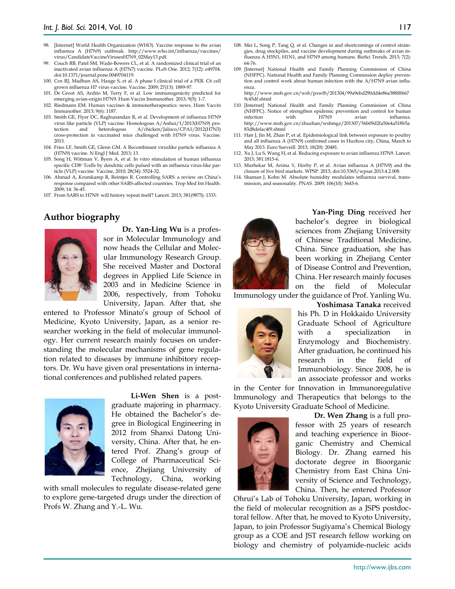- 98. [Internet] World Health Organization (WHO). Vaccine response to the avian influenza A (H7N9) outbreak. http://www.who.int/influenza/vaccines/ virus/CandidateVaccineVirusesH7N9\_02May13.pdf.
- 99. Couch RB, Patel SM, Wade-Bowers CL, et al. A randomized clinical trial of an inactivated avian influenza A (H7N7) vaccine. PLoS One. 2012; 7(12): e49704. doi:10.1371/journal.pone.0049704119.
- 100. Cox RJ, Madhun AS, Hauge S, et al. A phase I clinical trial of a PER. C6 cell grown influenza H7 virus vaccine. Vaccine. 2009; 27(13): 1889-97.
- 101. De Groot AS, Ardito M, Terry F, et al. Low immunogenicity predicted for emerging avian-origin H7N9. Hum Vaccin Immunother. 2013; 9(5): 1-7.
- 102. Riedmann EM. Human vaccines & immunotherapeutics: news. Hum Vaccin Immunother. 2013; 9(6): 1187.
- 103. Smith GE, Flyer DC, Raghunandan R, et al. Development of influenza H7N9 virus like particle (VLP) vaccine: Homologous A/Anhui/1/2013(H7N9) pro-<br>tection and heterologous A/chicken/Jalisco/CPA1/2012(H7N3) A/chicken/Jalisco/CPA1/2012(H7N3) cross-protection in vaccinated mice challenged with H7N9 virus. Vaccine. 2013.
- 104. Fries LF, Smith GE, Glenn GM. A Recombinant viruslike particle influenza A (H7N9) vaccine. N Engl J Med. 2013; 13.
- 105. Song H, Wittman V, Byers A, et al. In vitro stimulation of human influenza specific CD8+ Tcells by dendritic cells pulsed with an influenza virus-like particle (VLP) vaccine. Vaccine, 2010; 28(34): 5524-32.
- 106. Ahmad A, Krumkamp R, Reintjes R. Controlling SARS: a review on China's response compared with other SARS-affected countries. Trop Med Int Health.  $2009:14:36-45$
- 107. From SARS to H7N9: will history repeat itself? Lancet. 2013; 381(9875): 1333.

## **Author biography**



**Dr. Yan-Ling Wu** is a professor in Molecular Immunology and now heads the Cellular and Molecular Immunology Research Group. She received Master and Doctoral degrees in Applied Life Science in 2003 and in Medicine Science in 2006, respectively, from Tohoku University, Japan. After that, she

entered to Professor Minato's group of School of Medicine, Kyoto University, Japan, as a senior researcher working in the field of molecular immunology. Her current research mainly focuses on understanding the molecular mechanisms of gene regulation related to diseases by immune inhibitory receptors. Dr. Wu have given oral presentations in international conferences and published related papers.



**Li-Wen Shen** is a postgraduate majoring in pharmacy. He obtained the Bachelor's degree in Biological Engineering in 2012 from Shanxi Datong University, China. After that, he entered Prof. Zhang's group of College of Pharmaceutical Science, Zhejiang University of Technology, China, working

with small molecules to regulate disease-related gene to explore gene-targeted drugs under the direction of Profs W. Zhang and Y.-L. Wu.

108. Mei L, Song P, Tang Q, et al. Changes in and shortcomings of control strategies, drug stockpiles, and vaccine development during outbreaks of avian influenza A H5N1, H1N1, and H7N9 among humans. BioSci Trends. 2013; 7(2): 64-76.

109. [Internet] National Health and Family Planning Commission of China (NHFPC). National Health and Family Planning Commission deploy prevention and control work about human infection with the A/H7N9 avian influenza.

http://www.moh.gov.cn/wsb/pxwfb/201304/99a9ebd290dd4e86a388fff667 9c45df.shtml

- 110. [Internet] National Health and Family Planning Commission of China (NHFPC). Notice of strengthen epidemic prevention and control for human<br>influenza.<br> $HTN9$  avian influenza. infection with H7N9 avian influenza. http://www.moh.gov.cn/zhuzhan/wsbmgz/201307/56b09d2fa50e4a518b5a 83d8defac4f9.shtml
- 111. Han J, Jin M, Zhan P, et al. Epidemiological link between exposure to poultry and all influenza A (H7N9) confirmed cases in Huzhou city, China, March to May 2013. Euro Surveill. 2013; 18(20): 20481.
- 112. Xu J, Lu S, Wang H, et al. Reducing exposure to avian influenza H7N9. Lancet. 2013; 381:1815-6.
- 113. Murhekar M, Arima Y, Horby P, et al. Avian influenza A (H7N9) and the closure of live bird markets. WPSP. 2013; doi:10.5365/wpsar.2013.4.2.008.
- 114. Shaman J, Kohn M. Absolute humidity modulates influenza survival, transmission, and seasonality. PNAS. 2009; 106(10): 3645-6.



**Yan-Ping Ding** received her bachelor's degree in biological sciences from Zhejiang University of Chinese Traditional Medicine, China. Since graduation, she has been working in Zhejiang Center of Disease Control and Prevention, China. Her research mainly focuses on the field of Molecular

Immunology under the guidance of Prof. Yanling Wu.



**Yoshimasa Tanaka** received his Ph. D in Hokkaido University Graduate School of Agriculture with a specialization in Enzymology and Biochemistry. After graduation, he continued his research in the field of Immunobiology. Since 2008, he is an associate professor and works

in the Center for Innovation in Immunoregulative Immunology and Therapeutics that belongs to the Kyoto University Graduate School of Medicine.



**Dr. Wen Zhang** is a full professor with 25 years of research and teaching experience in Bioorganic Chemistry and Chemical Biology. Dr. Zhang earned his doctorate degree in Bioorganic Chemistry from East China University of Science and Technology, China. Then, he entered Professor

Ohrui's Lab of Tohoku University, Japan, working in the field of molecular recognition as a JSPS postdoctoral fellow. After that, he moved to Kyoto University, Japan, to join Professor Sugiyama's Chemical Biology group as a COE and JST research fellow working on biology and chemistry of polyamide-nucleic acids